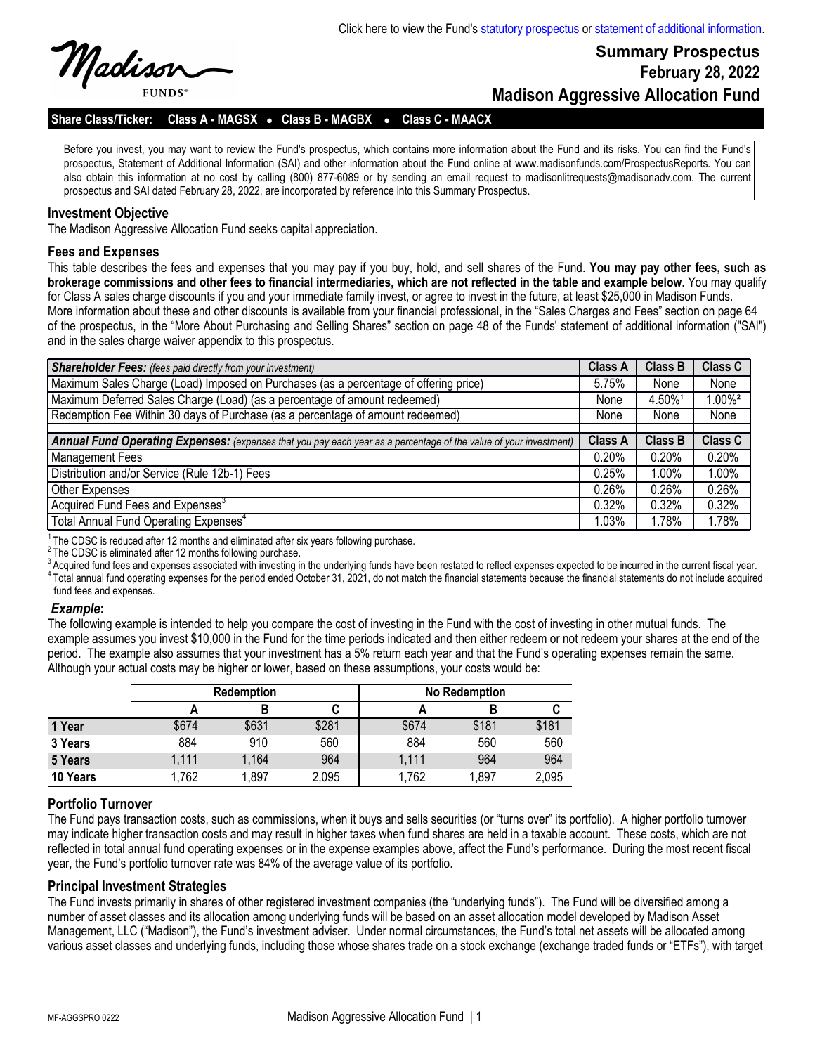Madisor **FUNDS** 

# **Summary Prospectus February 28, 2022 Madison Aggressive Allocation Fund**

### **Share Class/Ticker: Class A - MAGSX** l **Class B - MAGBX** <sup>l</sup> **Class C - MAACX**

Before you invest, you may want to review the Fund's prospectus, which contains more information about the Fund and its risks. You can find the Fund's prospectus, Statement of Additional Information (SAI) and other information about the Fund online at www.madisonfunds.com/ProspectusReports. You can also obtain this information at no cost by calling (800) 877-6089 or by sending an email request to madisonlitrequests@madisonadv.com. The current prospectus and SAI dated February 28, 2022, are incorporated by reference into this Summary Prospectus.

#### **Investment Objective**

The Madison Aggressive Allocation Fund seeks capital appreciation.

#### **Fees and Expenses**

This table describes the fees and expenses that you may pay if you buy, hold, and sell shares of the Fund. **You may pay other fees, such as brokerage commissions and other fees to financial intermediaries, which are not reflected in the table and example below.** You may qualify for Class A sales charge discounts if you and your immediate family invest, or agree to invest in the future, at least \$25,000 in Madison Funds. More information about these and other discounts is available from your financial professional, in the "Sales Charges and Fees" section on page 64 of the prospectus, in the "More About Purchasing and Selling Shares" section on page 48 of the Funds' statement of additional information ("SAI") and in the sales charge waiver appendix to this prospectus.

| <b>Shareholder Fees:</b> (fees paid directly from your investment)                                                | <b>Class A</b> | <b>Class B</b> | <b>Class C</b>       |
|-------------------------------------------------------------------------------------------------------------------|----------------|----------------|----------------------|
| Maximum Sales Charge (Load) Imposed on Purchases (as a percentage of offering price)                              | 5.75%          | None           | None                 |
| Maximum Deferred Sales Charge (Load) (as a percentage of amount redeemed)                                         | None           | 4.50%1         | $.00\%$ <sup>2</sup> |
| Redemption Fee Within 30 days of Purchase (as a percentage of amount redeemed)                                    | None           | None           | None                 |
|                                                                                                                   |                |                |                      |
| Annual Fund Operating Expenses: (expenses that you pay each year as a percentage of the value of your investment) | <b>Class A</b> | Class B        | Class C              |
| Management Fees                                                                                                   | 0.20%          | 0.20%          | 0.20%                |
| Distribution and/or Service (Rule 12b-1) Fees                                                                     | 0.25%          | 1.00%          | 1.00%                |
| Other Expenses                                                                                                    | 0.26%          | 0.26%          | 0.26%                |
| Acquired Fund Fees and Expenses <sup>3</sup>                                                                      | 0.32%          | $0.32\%$       | 0.32%                |
| Total Annual Fund Operating Expenses <sup>4</sup>                                                                 | 1.03%          | 1.78%          | l.78%                |

 $1$ The CDSC is reduced after 12 months and eliminated after six years following purchase.

<sup>2</sup>The CDSC is eliminated after 12 months following purchase.

<sup>3</sup> Acquired fund fees and expenses associated with investing in the underlying funds have been restated to reflect expenses expected to be incurred in the current fiscal year.  $^4$  Total annual fund operating expenses for the period ended October 31, 2021, do not match the financial statements because the financial statements do not include acquired fund fees and expenses.

#### *Example***:**

The following example is intended to help you compare the cost of investing in the Fund with the cost of investing in other mutual funds. The example assumes you invest \$10,000 in the Fund for the time periods indicated and then either redeem or not redeem your shares at the end of the period. The example also assumes that your investment has a 5% return each year and that the Fund's operating expenses remain the same. Although your actual costs may be higher or lower, based on these assumptions, your costs would be:

|          | <b>Redemption</b> |       |       |       | No Redemption |       |
|----------|-------------------|-------|-------|-------|---------------|-------|
|          |                   |       | u     |       |               |       |
| 1 Year   | \$674             | \$631 | \$281 | \$674 | \$181         | \$181 |
| 3 Years  | 884               | 910   | 560   | 884   | 560           | 560   |
| 5 Years  | 1,111             | 1,164 | 964   | 1,111 | 964           | 964   |
| 10 Years | 1,762             | 1,897 | 2,095 | 1,762 | 1,897         | 2,095 |

### **Portfolio Turnover**

The Fund pays transaction costs, such as commissions, when it buys and sells securities (or "turns over" its portfolio). A higher portfolio turnover may indicate higher transaction costs and may result in higher taxes when fund shares are held in a taxable account. These costs, which are not reflected in total annual fund operating expenses or in the expense examples above, affect the Fund's performance. During the most recent fiscal year, the Fund's portfolio turnover rate was 84% of the average value of its portfolio.

### **Principal Investment Strategies**

The Fund invests primarily in shares of other registered investment companies (the "underlying funds"). The Fund will be diversified among a number of asset classes and its allocation among underlying funds will be based on an asset allocation model developed by Madison Asset Management, LLC ("Madison"), the Fund's investment adviser. Under normal circumstances, the Fund's total net assets will be allocated among various asset classes and underlying funds, including those whose shares trade on a stock exchange (exchange traded funds or "ETFs"), with target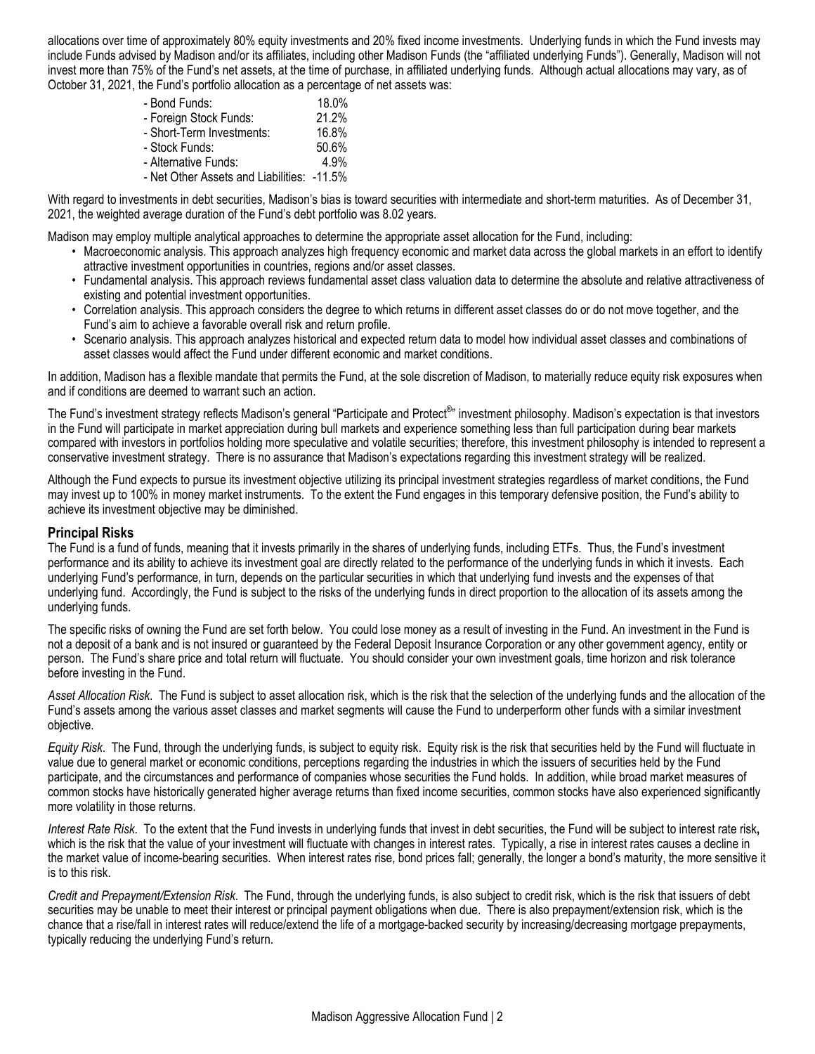allocations over time of approximately 80% equity investments and 20% fixed income investments. Underlying funds in which the Fund invests may include Funds advised by Madison and/or its affiliates, including other Madison Funds (the "affiliated underlying Funds"). Generally, Madison will not invest more than 75% of the Fund's net assets, at the time of purchase, in affiliated underlying funds. Although actual allocations may vary, as of October 31, 2021, the Fund's portfolio allocation as a percentage of net assets was:

| - Bond Funds:                              | 18.0% |
|--------------------------------------------|-------|
| - Foreign Stock Funds:                     | 21.2% |
| - Short-Term Investments:                  | 16.8% |
| - Stock Funds:                             | 50.6% |
| - Alternative Funds:                       | 4.9%  |
| - Net Other Assets and Liabilities: -11.5% |       |

With regard to investments in debt securities, Madison's bias is toward securities with intermediate and short-term maturities. As of December 31, 2021, the weighted average duration of the Fund's debt portfolio was 8.02 years.

Madison may employ multiple analytical approaches to determine the appropriate asset allocation for the Fund, including:

- Macroeconomic analysis. This approach analyzes high frequency economic and market data across the global markets in an effort to identify attractive investment opportunities in countries, regions and/or asset classes.
- Fundamental analysis. This approach reviews fundamental asset class valuation data to determine the absolute and relative attractiveness of existing and potential investment opportunities.
- Correlation analysis. This approach considers the degree to which returns in different asset classes do or do not move together, and the Fund's aim to achieve a favorable overall risk and return profile.
- Scenario analysis. This approach analyzes historical and expected return data to model how individual asset classes and combinations of asset classes would affect the Fund under different economic and market conditions.

In addition, Madison has a flexible mandate that permits the Fund, at the sole discretion of Madison, to materially reduce equity risk exposures when and if conditions are deemed to warrant such an action.

The Fund's investment strategy reflects Madison's general "Participate and Protect<sup>®</sup>" investment philosophy. Madison's expectation is that investors in the Fund will participate in market appreciation during bull markets and experience something less than full participation during bear markets compared with investors in portfolios holding more speculative and volatile securities; therefore, this investment philosophy is intended to represent a conservative investment strategy. There is no assurance that Madison's expectations regarding this investment strategy will be realized.

Although the Fund expects to pursue its investment objective utilizing its principal investment strategies regardless of market conditions, the Fund may invest up to 100% in money market instruments. To the extent the Fund engages in this temporary defensive position, the Fund's ability to achieve its investment objective may be diminished.

## **Principal Risks**

The Fund is a fund of funds, meaning that it invests primarily in the shares of underlying funds, including ETFs. Thus, the Fund's investment performance and its ability to achieve its investment goal are directly related to the performance of the underlying funds in which it invests. Each underlying Fund's performance, in turn, depends on the particular securities in which that underlying fund invests and the expenses of that underlying fund. Accordingly, the Fund is subject to the risks of the underlying funds in direct proportion to the allocation of its assets among the underlying funds.

The specific risks of owning the Fund are set forth below. You could lose money as a result of investing in the Fund. An investment in the Fund is not a deposit of a bank and is not insured or guaranteed by the Federal Deposit Insurance Corporation or any other government agency, entity or person. The Fund's share price and total return will fluctuate. You should consider your own investment goals, time horizon and risk tolerance before investing in the Fund.

*Asset Allocation Risk*. The Fund is subject to asset allocation risk, which is the risk that the selection of the underlying funds and the allocation of the Fund's assets among the various asset classes and market segments will cause the Fund to underperform other funds with a similar investment objective.

*Equity Risk*. The Fund, through the underlying funds, is subject to equity risk. Equity risk is the risk that securities held by the Fund will fluctuate in value due to general market or economic conditions, perceptions regarding the industries in which the issuers of securities held by the Fund participate, and the circumstances and performance of companies whose securities the Fund holds. In addition, while broad market measures of common stocks have historically generated higher average returns than fixed income securities, common stocks have also experienced significantly more volatility in those returns.

*Interest Rate Risk*. To the extent that the Fund invests in underlying funds that invest in debt securities, the Fund will be subject to interest rate risk**,** which is the risk that the value of your investment will fluctuate with changes in interest rates. Typically, a rise in interest rates causes a decline in the market value of income-bearing securities. When interest rates rise, bond prices fall; generally, the longer a bond's maturity, the more sensitive it is to this risk.

*Credit and Prepayment/Extension Risk*. The Fund, through the underlying funds, is also subject to credit risk, which is the risk that issuers of debt securities may be unable to meet their interest or principal payment obligations when due. There is also prepayment/extension risk, which is the chance that a rise/fall in interest rates will reduce/extend the life of a mortgage-backed security by increasing/decreasing mortgage prepayments, typically reducing the underlying Fund's return.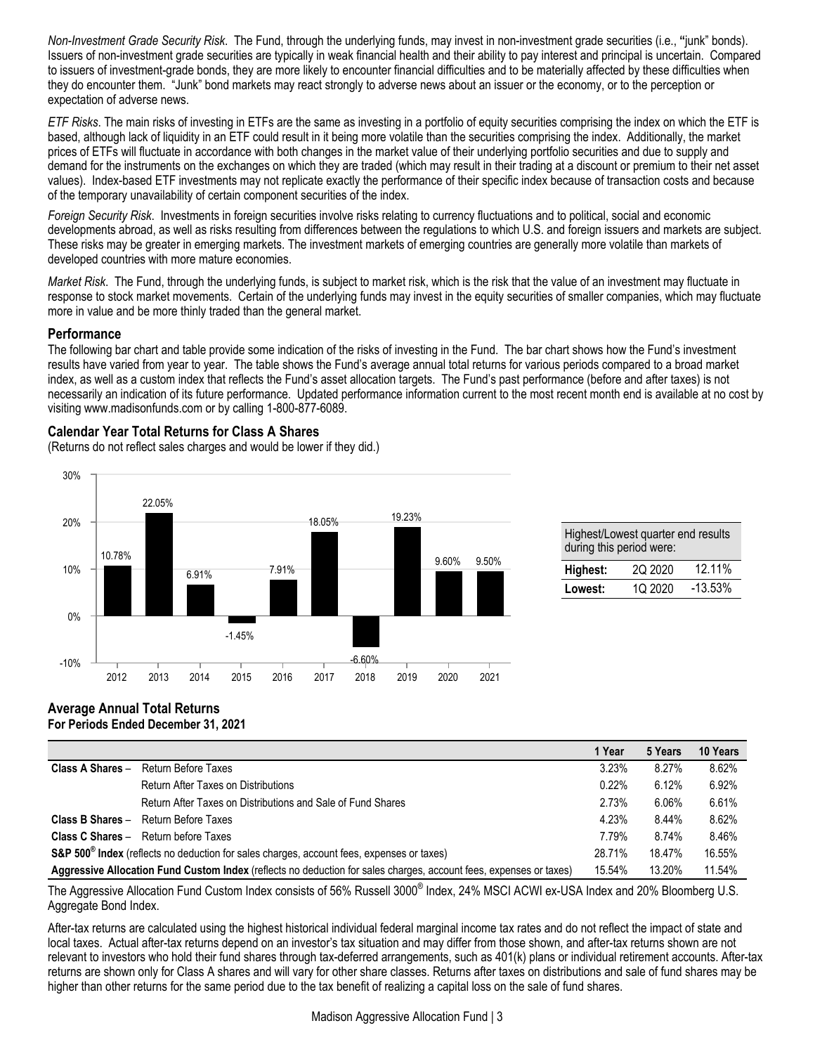*Non-Investment Grade Security Risk*. The Fund, through the underlying funds, may invest in non-investment grade securities (i.e., **"**junk" bonds). Issuers of non-investment grade securities are typically in weak financial health and their ability to pay interest and principal is uncertain. Compared to issuers of investment-grade bonds, they are more likely to encounter financial difficulties and to be materially affected by these difficulties when they do encounter them. "Junk" bond markets may react strongly to adverse news about an issuer or the economy, or to the perception or expectation of adverse news.

*ETF Risks*. The main risks of investing in ETFs are the same as investing in a portfolio of equity securities comprising the index on which the ETF is based, although lack of liquidity in an ETF could result in it being more volatile than the securities comprising the index. Additionally, the market prices of ETFs will fluctuate in accordance with both changes in the market value of their underlying portfolio securities and due to supply and demand for the instruments on the exchanges on which they are traded (which may result in their trading at a discount or premium to their net asset values). Index-based ETF investments may not replicate exactly the performance of their specific index because of transaction costs and because of the temporary unavailability of certain component securities of the index.

*Foreign Security Risk*. Investments in foreign securities involve risks relating to currency fluctuations and to political, social and economic developments abroad, as well as risks resulting from differences between the regulations to which U.S. and foreign issuers and markets are subject. These risks may be greater in emerging markets. The investment markets of emerging countries are generally more volatile than markets of developed countries with more mature economies.

*Market Risk*. The Fund, through the underlying funds, is subject to market risk, which is the risk that the value of an investment may fluctuate in response to stock market movements. Certain of the underlying funds may invest in the equity securities of smaller companies, which may fluctuate more in value and be more thinly traded than the general market.

# **Performance**

The following bar chart and table provide some indication of the risks of investing in the Fund. The bar chart shows how the Fund's investment results have varied from year to year. The table shows the Fund's average annual total returns for various periods compared to a broad market index, as well as a custom index that reflects the Fund's asset allocation targets. The Fund's past performance (before and after taxes) is not necessarily an indication of its future performance. Updated performance information current to the most recent month end is available at no cost by visiting www.madisonfunds.com or by calling 1-800-877-6089.

# **Calendar Year Total Returns for Class A Shares**

(Returns do not reflect sales charges and would be lower if they did.)



| Highest/Lowest quarter end results<br>during this period were: |          |            |  |
|----------------------------------------------------------------|----------|------------|--|
| Highest:                                                       | 20 20 20 | 12.11%     |  |
| Lowest:                                                        | 10 2020  | $-13.53\%$ |  |

#### **Average Annual Total Returns For Periods Ended December 31, 2021**

|                                                                                                                    |                                                             | 1 Year | 5 Years | 10 Years |
|--------------------------------------------------------------------------------------------------------------------|-------------------------------------------------------------|--------|---------|----------|
| Return Before Taxes<br>Class A Shares -                                                                            |                                                             | 3.23%  | 8.27%   | 8.62%    |
|                                                                                                                    | <b>Return After Taxes on Distributions</b>                  | 0.22%  | 6.12%   | 6.92%    |
|                                                                                                                    | Return After Taxes on Distributions and Sale of Fund Shares | 2.73%  | 6.06%   | 6.61%    |
| Return Before Taxes<br>Class B Shares -                                                                            |                                                             | 4.23%  | 8.44%   | 8.62%    |
| <b>Class C Shares - Return before Taxes</b>                                                                        |                                                             | 7.79%  | 8.74%   | 8.46%    |
| S&P 500 <sup>®</sup> Index (reflects no deduction for sales charges, account fees, expenses or taxes)              |                                                             | 28.71% | 18.47%  | 16.55%   |
| Aggressive Allocation Fund Custom Index (reflects no deduction for sales charges, account fees, expenses or taxes) |                                                             | 15.54% | 13.20%  | 11.54%   |

The Aggressive Allocation Fund Custom Index consists of 56% Russell 3000<sup>®</sup> Index, 24% MSCI ACWI ex-USA Index and 20% Bloomberg U.S. Aggregate Bond Index.

After-tax returns are calculated using the highest historical individual federal marginal income tax rates and do not reflect the impact of state and local taxes. Actual after-tax returns depend on an investor's tax situation and may differ from those shown, and after-tax returns shown are not relevant to investors who hold their fund shares through tax-deferred arrangements, such as 401(k) plans or individual retirement accounts. After-tax returns are shown only for Class A shares and will vary for other share classes. Returns after taxes on distributions and sale of fund shares may be higher than other returns for the same period due to the tax benefit of realizing a capital loss on the sale of fund shares.